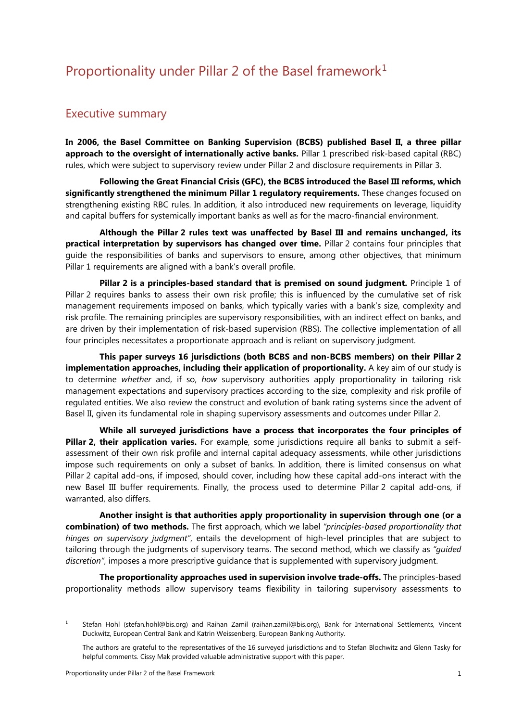## Proportionality under Pillar 2 of the Basel framework<sup>[1](#page-0-0)</sup>

## Executive summary

**In 2006, the Basel Committee on Banking Supervision (BCBS) published Basel II, a three pillar approach to the oversight of internationally active banks.** Pillar 1 prescribed risk-based capital (RBC) rules, which were subject to supervisory review under Pillar 2 and disclosure requirements in Pillar 3.

**Following the Great Financial Crisis (GFC), the BCBS introduced the Basel III reforms, which significantly strengthened the minimum Pillar 1 regulatory requirements.** These changes focused on strengthening existing RBC rules. In addition, it also introduced new requirements on leverage, liquidity and capital buffers for systemically important banks as well as for the macro-financial environment.

**Although the Pillar 2 rules text was unaffected by Basel III and remains unchanged, its practical interpretation by supervisors has changed over time.** Pillar 2 contains four principles that guide the responsibilities of banks and supervisors to ensure, among other objectives, that minimum Pillar 1 requirements are aligned with a bank's overall profile.

**Pillar 2 is a principles-based standard that is premised on sound judgment.** Principle 1 of Pillar 2 requires banks to assess their own risk profile; this is influenced by the cumulative set of risk management requirements imposed on banks, which typically varies with a bank's size, complexity and risk profile. The remaining principles are supervisory responsibilities, with an indirect effect on banks, and are driven by their implementation of risk-based supervision (RBS). The collective implementation of all four principles necessitates a proportionate approach and is reliant on supervisory judgment.

**This paper surveys 16 jurisdictions (both BCBS and non-BCBS members) on their Pillar 2 implementation approaches, including their application of proportionality.** A key aim of our study is to determine *whether* and, if so, *how* supervisory authorities apply proportionality in tailoring risk management expectations and supervisory practices according to the size, complexity and risk profile of regulated entities. We also review the construct and evolution of bank rating systems since the advent of Basel II, given its fundamental role in shaping supervisory assessments and outcomes under Pillar 2.

**While all surveyed jurisdictions have a process that incorporates the four principles of Pillar 2, their application varies.** For example, some jurisdictions require all banks to submit a selfassessment of their own risk profile and internal capital adequacy assessments, while other jurisdictions impose such requirements on only a subset of banks. In addition, there is limited consensus on what Pillar 2 capital add-ons, if imposed, should cover, including how these capital add-ons interact with the new Basel III buffer requirements. Finally, the process used to determine Pillar 2 capital add-ons, if warranted, also differs.

**Another insight is that authorities apply proportionality in supervision through one (or a combination) of two methods.** The first approach, which we label *"principles-based proportionality that hinges on supervisory judgment"*, entails the development of high-level principles that are subject to tailoring through the judgments of supervisory teams. The second method, which we classify as *"guided discretion"*, imposes a more prescriptive guidance that is supplemented with supervisory judgment.

**The proportionality approaches used in supervision involve trade-offs.** The principles-based proportionality methods allow supervisory teams flexibility in tailoring supervisory assessments to

<span id="page-0-0"></span><sup>&</sup>lt;sup>1</sup> Stefan Hohl [\(stefan.hohl@bis.org\)](mailto:stefan.hohl@bis.org) and Raihan Zamil [\(raihan.zamil@bis.org\)](mailto:raihan.zamil@bis.org), Bank for International Settlements, Vincent Duckwitz, European Central Bank and Katrin Weissenberg, European Banking Authority.

The authors are grateful to the representatives of the 16 surveyed jurisdictions and to Stefan Blochwitz and Glenn Tasky for helpful comments. Cissy Mak provided valuable administrative support with this paper.